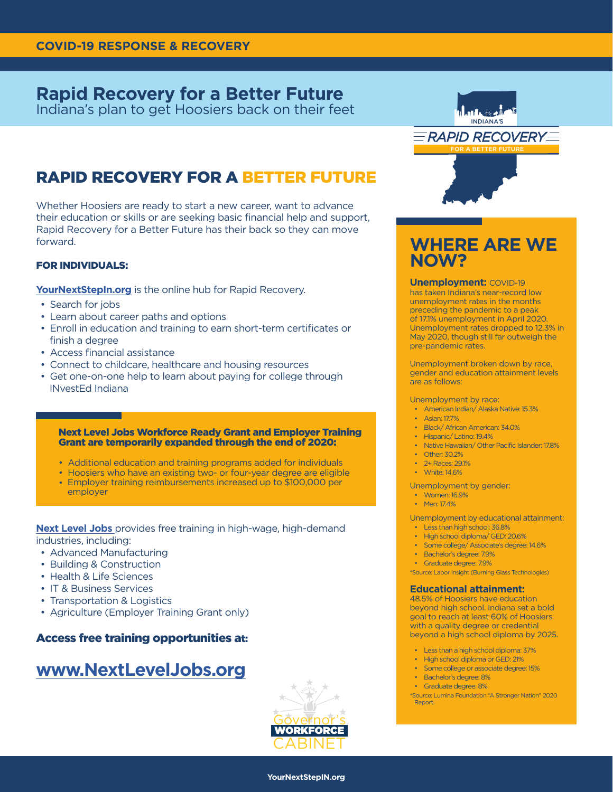## **Rapid Recovery for a Better Future**

Indiana's plan to get Hoosiers back on their feet

# RAPID RECOVERY FOR A BETTER FUTURE

Whether Hoosiers are ready to start a new career, want to advance their education or skills or are seeking basic financial help and support, Rapid Recovery for a Better Future has their back so they can move forward.

## FOR INDIVIDUALS:

**YourNextStepIn.org** is the online hub for Rapid Recovery.

- Search for jobs
- Learn about career paths and options
- Enroll in education and training to earn short-term certificates or finish a degree
- Access financial assistance
- Connect to childcare, healthcare and housing resources
- Get one-on-one help to learn about paying for college through INvestEd Indiana

### Next Level Jobs Workforce Ready Grant and Employer Training Grant are temporarily expanded through the end of 2020:

- Additional education and training programs added for individuals
- Hoosiers who have an existing two- or four-year degree are eligible
- Employer training reimbursements increased up to \$100,000 per employer

**Next Level Jobs** provides free training in high-wage, high-demand industries, including:

- Advanced Manufacturing
- Building & Construction
- Health & Life Sciences
- IT & Business Services
- Transportation & Logistics
- Agriculture (Employer Training Grant only)

## Access free training opportunities at:

# **www.NextLevelJobs.org**





# **WHERE ARE WE NOW?**

**Unemployment:** COVID-19

has taken Indiana's near-record low unemployment rates in the months preceding the pandemic to a peak of 17.1% unemployment in April 2020. Unemployment rates dropped to 12.3% in May 2020, though still far outweigh the pre-pandemic rates.

Unemployment broken down by race, gender and education attainment levels are as follows:

Unemployment by race:

- American Indian/ Alaska Native: 15.3%
- Asian: 17.7%
- Black/ African American: 34.0%
- Hispanic/ Latino: 19.4%
- Native Hawaiian/ Other Pacific Islander: 17.8%
- Other: 30.2%
- 2+ Races: 29.1%
- White: 14.6%

Unemployment by gender:

- Women: 16.9%
- Men: 174%

Unemployment by educational attainment:

- Less than high school: 36.8%
- High school diploma/ GED: 20.6%
- Some college/ Associate's degree: 14.6%
- Bachelor's degree: 7.9% • Graduate degree: 7.9%
- \*Source: Labor Insight (Burning Glass Technologies)

#### **Educational attainment:**

48.5% of Hoosiers have education beyond high school. Indiana set a bold goal to reach at least 60% of Hoosiers with a quality degree or credential beyond a high school diploma by 2025.

- Less than a high school diploma: 37%
- High school diploma or GED: 21%
- Some college or associate degree: 15%
- Bachelor's degree: 8%
- Graduate degree: 8%

\*Source: Lumina Foundation "A Stronger Nation" 2020 Report.